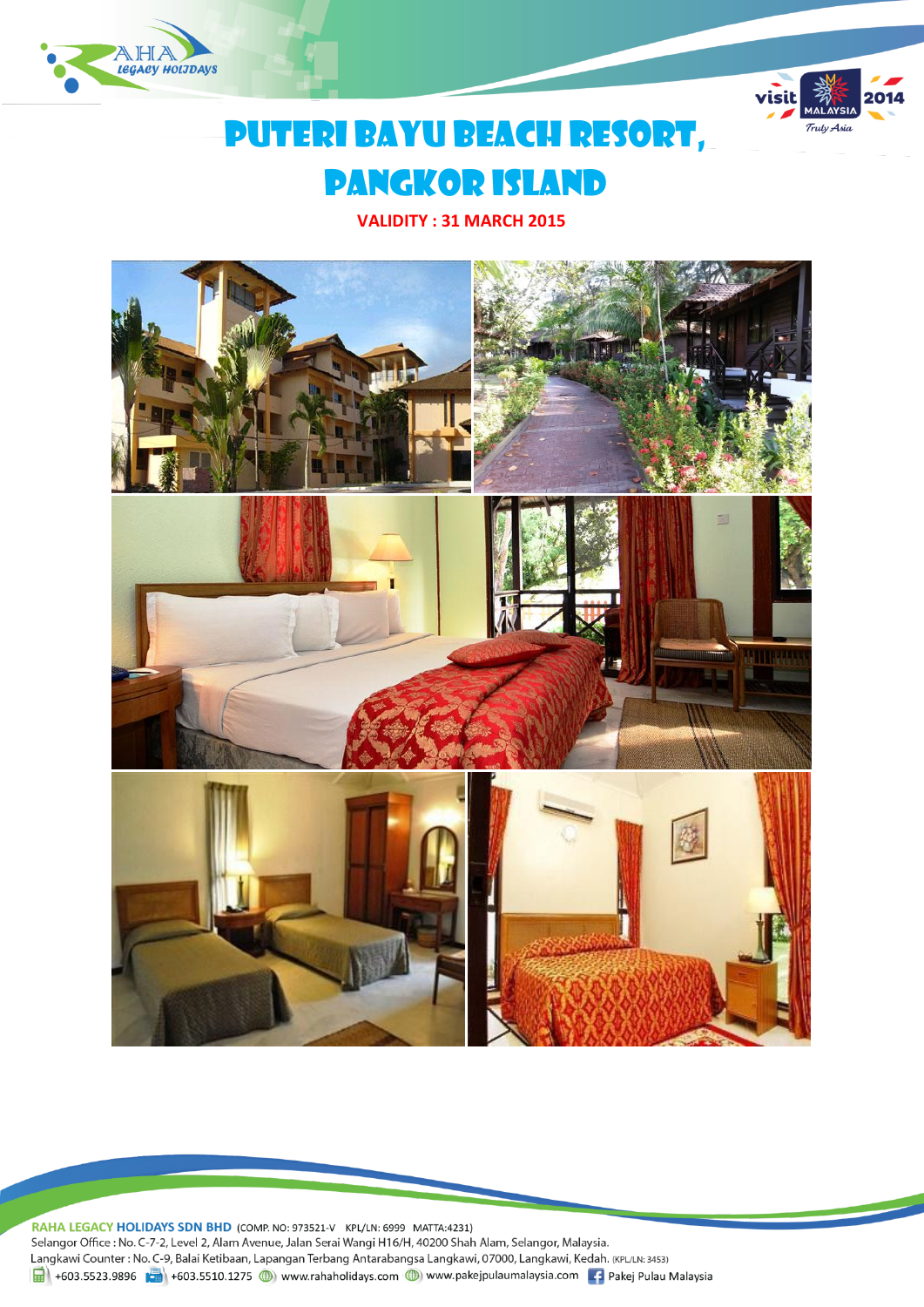



# Puteri bayu beach resort, pangkor island

**VALIDITY : 31 MARCH 2015**



RAHA LEGACY HOLIDAYS SDN BHD (COMP. NO: 973521-V KPL/LN: 6999 MATTA:4231) Selangor Office : No. C-7-2, Level 2, Alam Avenue, Jalan Serai Wangi H16/H, 40200 Shah Alam, Selangor, Malaysia. Langkawi Counter : No. C-9, Balai Ketibaan, Lapangan Terbang Antarabangsa Langkawi, 07000, Langkawi, Kedah. (KPL/LN: 3453) H603.5523.9896 +603.5510.1275 + www.rahaholidays.com + www.pakejpulaumalaysia.com + Pakej Pulau Malaysia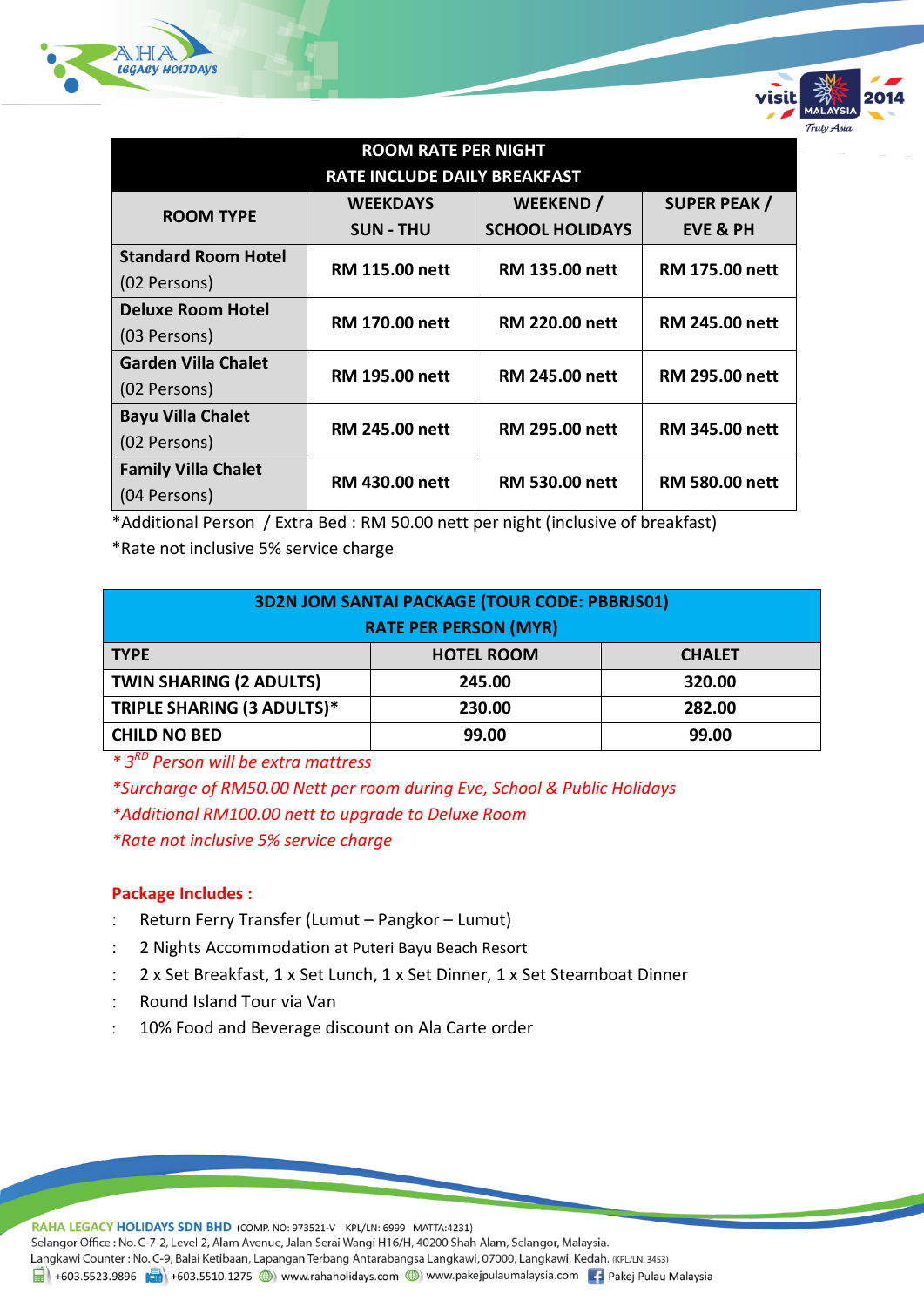

| <b>ROOM RATE PER NIGHT</b>          |                       |                        |                       |  |  |  |  |
|-------------------------------------|-----------------------|------------------------|-----------------------|--|--|--|--|
| <b>RATE INCLUDE DAILY BREAKFAST</b> |                       |                        |                       |  |  |  |  |
| <b>ROOM TYPE</b>                    | <b>WEEKDAYS</b>       | <b>WEEKEND</b> /       | <b>SUPER PEAK /</b>   |  |  |  |  |
|                                     | <b>SUN - THU</b>      | <b>SCHOOL HOLIDAYS</b> | <b>EVE &amp; PH</b>   |  |  |  |  |
| <b>Standard Room Hotel</b>          | <b>RM 115.00 nett</b> | <b>RM 135.00 nett</b>  | <b>RM 175.00 nett</b> |  |  |  |  |
| (02 Persons)                        |                       |                        |                       |  |  |  |  |
| <b>Deluxe Room Hotel</b>            | <b>RM 170.00 nett</b> | <b>RM 220.00 nett</b>  | <b>RM 245.00 nett</b> |  |  |  |  |
| (03 Persons)                        |                       |                        |                       |  |  |  |  |
| <b>Garden Villa Chalet</b>          | <b>RM 195.00 nett</b> | <b>RM 245.00 nett</b>  | <b>RM 295.00 nett</b> |  |  |  |  |
| (02 Persons)                        |                       |                        |                       |  |  |  |  |
| <b>Bayu Villa Chalet</b>            | <b>RM 245.00 nett</b> | <b>RM 295.00 nett</b>  | <b>RM 345.00 nett</b> |  |  |  |  |
| (02 Persons)                        |                       |                        |                       |  |  |  |  |
| <b>Family Villa Chalet</b>          | <b>RM 430.00 nett</b> | <b>RM 530.00 nett</b>  | <b>RM 580.00 nett</b> |  |  |  |  |
| (04 Persons)                        |                       |                        |                       |  |  |  |  |

rulv Asia

\*Additional Person / Extra Bed : RM 50.00 nett per night (inclusive of breakfast)

\*Rate not inclusive 5% service charge

| <b>3D2N JOM SANTAI PACKAGE (TOUR CODE: PBBRJS01)</b><br><b>RATE PER PERSON (MYR)</b> |                   |               |  |  |  |  |
|--------------------------------------------------------------------------------------|-------------------|---------------|--|--|--|--|
| <b>TYPE</b>                                                                          | <b>HOTEL ROOM</b> | <b>CHALET</b> |  |  |  |  |
| <b>TWIN SHARING (2 ADULTS)</b>                                                       | 245.00            | 320.00        |  |  |  |  |
| TRIPLE SHARING (3 ADULTS)*                                                           | 230.00            | 282.00        |  |  |  |  |
| <b>CHILD NO BED</b>                                                                  | 99.00             | 99.00         |  |  |  |  |

*\* 3RD Person will be extra mattress*

*\*Surcharge of RM50.00 Nett per room during Eve, School & Public Holidays \*Additional RM100.00 nett to upgrade to Deluxe Room \*Rate not inclusive 5% service charge*

## **Package Includes :**

- Return Ferry Transfer (Lumut Pangkor Lumut)
- 2 Nights Accommodation at Puteri Bayu Beach Resort
- 2 x Set Breakfast, 1 x Set Lunch, 1 x Set Dinner, 1 x Set Steamboat Dinner
- Round Island Tour via Van
- 10% Food and Beverage discount on Ala Carte order

RAHA LEGACY HOLIDAYS SDN BHD (COMP. NO: 973521-V KPL/LN: 6999 MATTA:4231) Selangor Office : No. C-7-2, Level 2, Alam Avenue, Jalan Serai Wangi H16/H, 40200 Shah Alam, Selangor, Malaysia. Langkawi Counter: No. C-9, Balai Ketibaan, Lapangan Terbang Antarabangsa Langkawi, 07000, Langkawi, Kedah. (KPL/LN: 3453) 1 +603.5523.9896 +603.5510.1275 (b) www.rahaholidays.com (b) www.pakejpulaumalaysia.com + Pakej Pulau Malaysia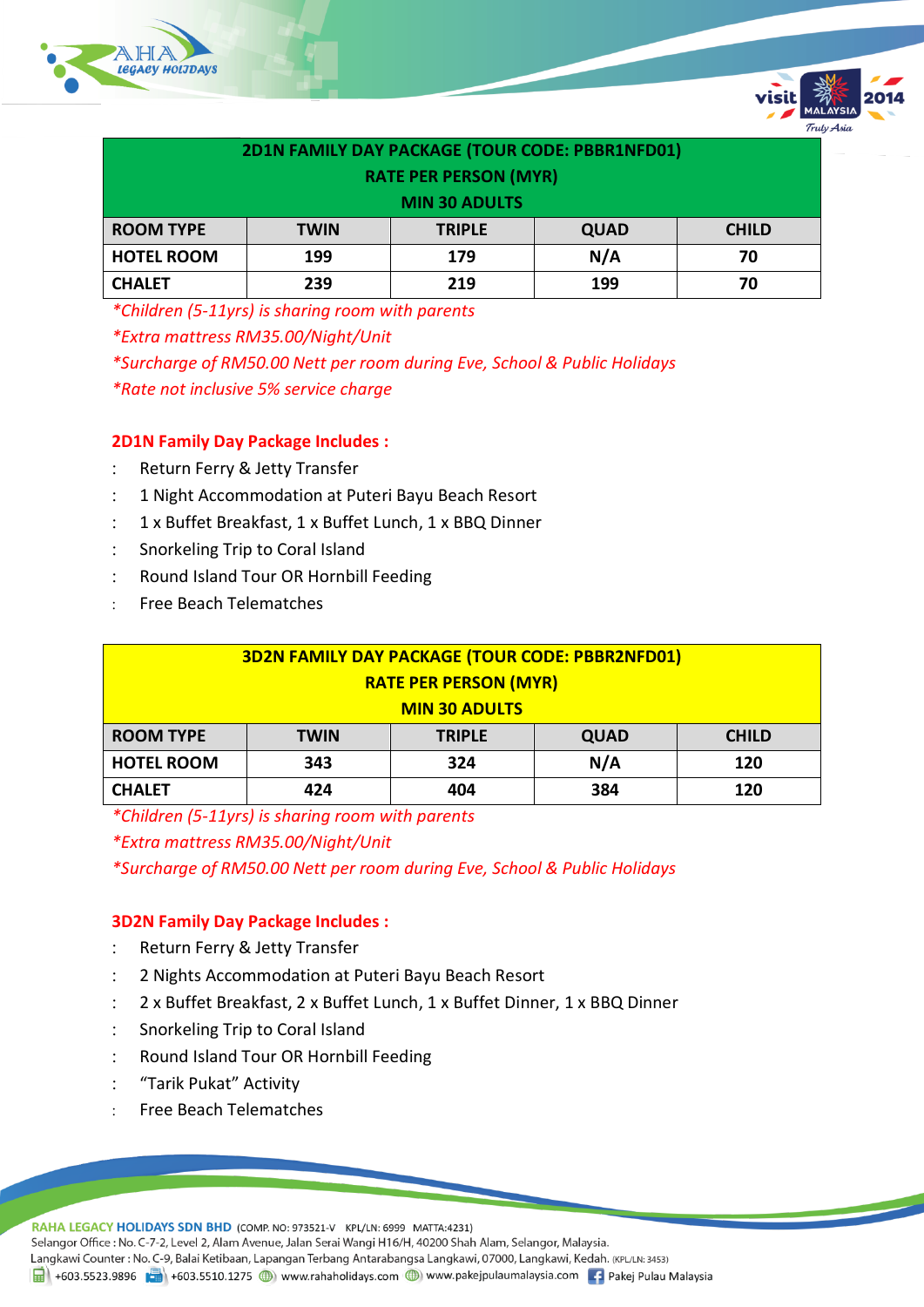



Trulv Asia

*\*Children (5-11yrs) is sharing room with parents*

*\*Extra mattress RM35.00/Night/Unit*

*\*Surcharge of RM50.00 Nett per room during Eve, School & Public Holidays*

*\*Rate not inclusive 5% service charge*

## **2D1N Family Day Package Includes :**

- : Return Ferry & Jetty Transfer
- 1 Night Accommodation at Puteri Bayu Beach Resort
- 1 x Buffet Breakfast, 1 x Buffet Lunch, 1 x BBQ Dinner
- Snorkeling Trip to Coral Island
- : Round Island Tour OR Hornbill Feeding
- Free Beach Telematches

| <b>3D2N FAMILY DAY PACKAGE (TOUR CODE: PBBR2NFD01)</b> |             |               |             |              |  |  |  |
|--------------------------------------------------------|-------------|---------------|-------------|--------------|--|--|--|
| <b>RATE PER PERSON (MYR)</b>                           |             |               |             |              |  |  |  |
| <b>MIN 30 ADULTS</b>                                   |             |               |             |              |  |  |  |
| <b>ROOM TYPE</b>                                       | <b>TWIN</b> | <b>TRIPLE</b> | <b>QUAD</b> | <b>CHILD</b> |  |  |  |
| <b>HOTEL ROOM</b>                                      | 343         | 324           | N/A         | 120          |  |  |  |
| <b>CHALET</b>                                          | 424         | 404           | 384         | 120          |  |  |  |

*\*Children (5-11yrs) is sharing room with parents*

*\*Extra mattress RM35.00/Night/Unit*

*\*Surcharge of RM50.00 Nett per room during Eve, School & Public Holidays*

## **3D2N Family Day Package Includes :**

- Return Ferry & Jetty Transfer
- 2 Nights Accommodation at Puteri Bayu Beach Resort
- 2 x Buffet Breakfast, 2 x Buffet Lunch, 1 x Buffet Dinner, 1 x BBQ Dinner
- : Snorkeling Trip to Coral Island
- Round Island Tour OR Hornbill Feeding
- "Tarik Pukat" Activity
- Free Beach Telematches

RAHA LEGACY HOLIDAYS SDN BHD (COMP. NO: 973521-V KPL/LN: 6999 MATTA:4231) Selangor Office : No. C-7-2, Level 2, Alam Avenue, Jalan Serai Wangi H16/H, 40200 Shah Alam, Selangor, Malaysia. Langkawi Counter: No. C-9, Balai Ketibaan, Lapangan Terbang Antarabangsa Langkawi, 07000, Langkawi, Kedah. (KPL/LN: 3453) 日 +603.5523.9896 H +603.5510.1275 ● www.rahaholidays.com ● www.pakejpulaumalaysia.com F Pakej Pulau Malaysia